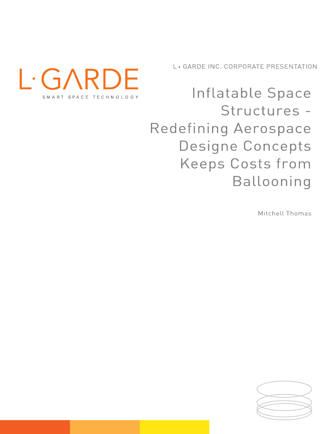L. GARDE INC. CORPORATE PRESENTATION



Inflatable Space Structures -Redefining Aerospace Designe Concepts **Keeps Costs from** Ballooning

Mitchell Thomas

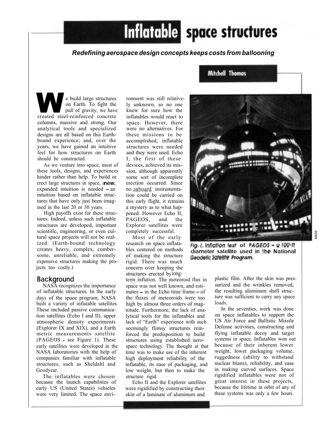# Redefining aerospace design concepts keeps costs from ballooning

Inflatable space structures

e build large structures<br>
on Earth. To fight the<br>
pull of gravity, we have<br>
created steel-reinforced concrete<br>
inflatables would react to pull of gravity, we have columns, massive and strong. Our analytical tools and specialized designs are all based on this Earthbound experience; and, over the years, we have gained an intuitive feel for how structures on Earth should be constructed.

As we venture into space, most of these tools, designs, and experiences hinder rather than help. To build or erect large structures in space, anew, expanded intuition is needed  $=$ an intuition based on inflatable structures that have only just been imagined in tbe last 20 or 30 years.

High payoffs exist for these structures. Indeed, unless such inflatable PAGEOS, and the structures are developed, important scientific, engineering, or even cultural space projects will not be realized. (Earth-bound technology research on space inflata  $\overline{Fig. 1}$ . Inflation test of PAGEOS = a 100-ff creates heavy, complex, cumberexpensive structures making the projects too costly.)

## **Background**

NASA recognizes the importance of inflatable structures. In the early built a variety of inflatable satellites. These included passive communication satellites (Echo I and II), upper atmospheric density experiments (Explorer IX and XIX), and a Earth seemingly flimsy structures reinmetric measurements satellite  $(PAGEOS = see Figure 1)$ . These early satellites were developed in the NASA laboratories with the help of companies familiar with inflatable Goodyear.

The inflatables were chosen because the launch capabilities of early US (United States) vehicles were very limited. The space envi-

ronment was still relativeknew for sure how the inflatables would react to space. However, there were no alternatives. For these missions to be accomplished, inflatable structures were needed and they were used. Echo I, the first of these devices, achieved its mission, although apparently some sort of incomplete erection occurred. Since no onboard instrumentation could be carried on this early flight, it remains a mystery as to what happened. However Echo II, Explorer satellites were completely successful.

Most of the early research on space inflatables centered on methods of making the structure rigid. There was much concern over keeping the structures erected by long-

days of the space program, NASA the fluxes of meteoroids were too ture was sufficient to carry any space structures, such as Sheldahl and inflatable, its ease of packaging, and nuclear blasts), reliability, and ease term inflation. The meteoroid flux in space was not well known, and estimates  $-$  in the Echo time frame  $-$  of high by almost three orders of magnitude. Furthermore, the lack of analytical tools for the inflatables and lack of "Earth" experience with such forced the predisposition to build structures using established aerospace technology. The thought at that time was to make use of the inherent high deployment reliability of the low weight, but then to make the structure rigid.

> Echo II and the Explorer satellites were rigidified by constructing their skin of a laminate of aluminum and

**Mitchell Thomas** 



creates heavy, complex, cumber-<br>some, unreliable, and extremely of making the structure **Geodelic Screame Program.** 

plastic film. After the skin was pressurized and the wrinkles removed, the resulting aluminum shell structure was sufficient to carry any space loads.

In the seventies, work was done on space inflatables to support the US Air Force and Ballistic Missile Defense activities, constructing and flying inflatable decoy and target systems in space. Inflatables won out because of their inherent lower weight, lower packaging volume, ruggedness (ability to withstand nuclear blasts), reliability, and ease in making curved surfaces. Space rigidified inflatables were not of great interest in these projects, because the lifetime in orbit of any of these systems was only a few hours.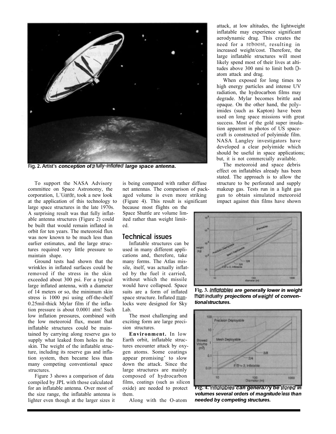![](_page_2_Picture_0.jpeg)

Fig. 2. Artist's conception of a fully-inflated large space antenna.

To support the NASA Advisory committee on Space Astronomy, the corporation, L'Garde, took a new look at the application of this technology to large space structures in the late 1970s. A surprising result was that fully inflatable antenna structures (Figure 2) could be built that would remain inflated in orbit for ten years. The meteoroid flux<br>was now known to be much less than **Iechnical issues** was now known to be much less than earlier estimates, and the large structures required very little pressure to maintain shape.

Ground tests had shown that the wrinkles in inflated surfaces could be removed if the stress in the skin exceeded about 300 psi. For a typical large inflated antenna, with a diameter stress is 1000 psi using off-the-shelf 0.25mil-thick Mylar film if the inflation pressure is about 0.0001 atm! Such low inflation pressures, combined with the low meteoroid flux, meant that inflatable structures could be maintained by carrying along reserve gas to supply what leaked from holes in the skin. The weight of the inflatable structure, including its reserve gas and inflation system, then became less than many competing conventional space structures.

Figure 3 shows a comparison of data compiled by JPL with those calculated for an inflatable antenna. Over most of the size range, the inflatable antenna is lighter even though at the larger sizes it Along with the O-atom

is being compared with rather diffuse net antennas. The comparison of packaged volume is even more striking (Figure 4). This result is significant

because most flights on the Space Shuttle are volume limited rather than weight limited.

Inflatable structures can be used in many different applications and, therefore, take many forms. The Atlas missile, itself, was actually inflated by the fuel it carried, would have collapsed. Space suits are a form of inflated space structure. Inflated  $\frac{m}{m}$  **inclusive that is the structures.** locks were designed for Sky Lab.

The most challenging and<br>
iting form are large preciexciting form are large precision structures.

Environment. In low Earth orbit, inflatable structures encounter attack by oxygen atoms. Some coatings appear promising' to slow down the attack. Since the large structures are mainly films, coatings (such as silicon them.

attack, at low altitudes, the lightweight inflatable may experience significant aerodynamic drag. This creates the need for a reboost, resulting in increased weight/cost. Therefore, the large inflatable structures will most likely spend most of their lives at altitudes above 300 nmi to limit both atom attack and drag.

When exposed for long times to high energy particles and intense UV radiation, the hydrocarbon films may degrade. Mylar becomes brittle and opaque. On the other hand, the imides (such as Kapton) have been used on long space missions with great success. Most of the gold super insulation apparent in photos of US spacecraft is constructed of polyimide film. NASA Langley investigators have developed a clear polyimide which should be useful in space applications; but, it is not commercially available.

The meteoroid and space debris effect on inflatables already has been stated. The approach is to allow the structure to be perforated and supply makeup gas. Tests run in a light gas gun to obtain simulated meteoroid impact against thin films have shown

![](_page_2_Figure_15.jpeg)

of 14 meters or so, the minimum skin suits are a form of inflated Fig. 3. Inflatement are generally lower in weigh<br>stress is 1000 psi using off-the-shelf space structure Inflated man. **Then industry projections of weight o** Fig. 3. Infiglables are generally lower in weight

![](_page_2_Figure_17.jpeg)

oxide) are needed to protect **Tig. 4. Inflatables can genera//y be stored in**<br>**volumes several orders of magnitude less than** needed by competing structures. Fig. 4. Inflatobles can genera//y be slored in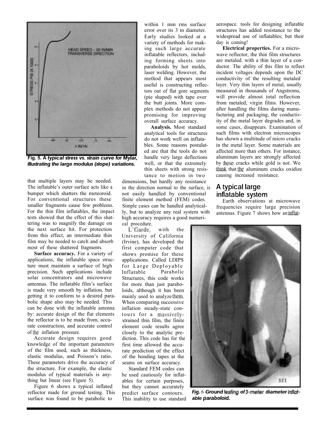![](_page_3_Figure_0.jpeg)

Fig. 5. A typical stress vs. strain curve for Mylar,

that multiple layers may be needed. The inflatable's outer surface acts like a bumper which shatters the meteoroid. For conventional structures these smaller fragments cause few problems. For the thin film inflatables, the impact tests showed that the effect of this shattering was to magnify the damage on the next surface hit. For protection L'Garde, with the from this effect, an intermediate thin film may be needed to catch and absorb most of these shattered fragments.

Surface accuracy. For a variety of applications, the inflatable space structure must maintain a surface of high for Large Deployable precision. Such applications include Inflatable solar concentrators and microwave antennas. The inflatable film's surface is made very smooth by inflation, but getting it to conform to a desired parabolic shape also may be needed. This can be done with the inflatable antenna by: accurate design of the flat elements tours for a massivelythe reflector is to be made from, accurate construction, and accurate control of inflation pressure.

Accurate design requires good knowledge of the important parameters of the film used, such as thickness, elastic modulus, and Poisson's ratio. These parameters drive the accuracy of the structure. For example, the elastic modulus of typical materials is anything but linear (see Figure 5).

Figure 6 shows a typical inflated reflector made for ground testing. This surface was found to be parabolic to This inability to use standard **able paraboloid.** 

error over its 3 m diameter. Early studies looked at a variety of methods for making such large accurate inflatable reflectors, includparaboloids by hot molds, laser welding. However, the method that appears most useful is constructing reflectors out of flat gore segments (pie shaped) with tape over the butt joints. More complex methods do not appear<br>promising for improving overall surface accuracy.

analytical tools for structures do not work well on inflatables. Some reasons postulated are that the tools do not handle very large deflections thin sheets with strong resis-

dimensions, but hardly any resistance<br>in the direction normal to the surface, is **A typical large** in the direction normal to the surface, is not easily handled by conventional **inflatable system** finite element method (FEM) codes. Simple cases can be handled analytically, but to analyze any real system with high accuracy requires a good numerical procedure.

University of California (Irvine), has developed the first computer code that shows promise for these applications. Called LDIPS Parabolic Structures, this code works for more than just paraboloids, although it has been mainly used to analyze them. When comparing successive inflation steady-state constrained thin film, the finite element code results agree closely to the analytic prediction. This code has for the first time allowed the accurate prediction of the effect of the bonding tapes at the seams on surface accuracy.

Standard FEM codes can be used cautiously for inflatables for certain purposes, but they cannot accurately predict surface contours. This inability to use standard

within 1 mm rms surface aerospace. tools for designing inflatable structures has added resistance to the widespread use of inflatables; but their day is coming!

ing forming sheets into are metaled. with a thin layer of a conpromising for improving facturing and packaging, the conductiv-Analysis. Most standard some cases, disappears. Examination of well, or that the extremely by these cracks while gold is not. We tance to motion in two causing increased resistance.at the flat gore segments measured in thousands of Angstroms,<br>
anged) with tape over will provide almost total relication<br>
the joints. More com-<br>
from metaled, virgin films. However,<br>
rethods do not appear after handling t Electrical properties. For a microwave reflector, the thin film structures ductor. The ability of this film to reflect incident voltages depends upon the DC conductivity of the resulting metaled layer. Very thin layers of metal, usually measured in thousands of Angstroms, will provide almost total reflection from metaled, virgin films. However, after handling the films during manuity of the metal layer degrades and, in such films with electron microscopes has shown a multitude of micro cracks in the metal layer. Some materials are affected more than others. For instance, aluminum layers are strongly affected think that the aluminum cracks oxidize

Earth observations at microwave frequencies require large precision antennas. Figure 7 shows how an inflat-

![](_page_3_Picture_15.jpeg)

Fig. 6 Ground lesling of 3-meter diameter inflat-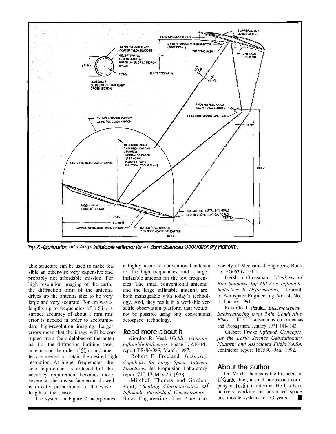![](_page_4_Figure_0.jpeg)

able structure can be used to make feasible an otherwise very expensive and probably not affordable mission. For high resolution imaging of the earth, the diffraction limit of the antenna drives up the antenna size to be very large and very accurate. For cm wavelengths up to frequencies of  $8$  GHz, a surface accuracy of about 1 mm rms error is needed in order to accommodate high-resolution imaging. Larger<br>errors mean that the image will be cor-<br>Read more about it errors mean that the image will be corrupted from the sidelobes of the antenna. For the diffraction limiting case, *Inflatable Reflectors*, Phase II, AFRPL antennas on the order of  $50 \text{ m}$  in diameter are needed to obtain the desired high Robert E. Freeland,  $Industry$ resolution. At higher frequencies, the size requirement is reduced but the accuracy requirement becomes more severe, as the rms surface error allowed is directly proportional to the wavelength of the sensor.

The system in Figure 7 incorporates

a highly accurate conventional antenna for the high frequencies, and a large inflatable antenna for the low frequencies. The small conventional antenna and the large inflatable antenna are both manageable with today's technology. And, they result in a workable versatile observation platform that would not be possible using only conventional aerospace technology.

Gordon R. Veal, Highly Accurate Inflatable Reflectors, Phase II, AFRPL Platform and Associated Flight, NASA report TR-86-089, March 1987.

Capability for Large Space Antenna<br>Structures Let Propulsion Laboratory **About the author** Structures, Jet Propulsion Laboratory report 710-12, May 25, 1978.

<sup>l</sup>Mitchell Thomas and Gordon Veal, "Scaling Characteristics of Inflatable Paraboloid Concentrators, Solar Engineering, The American

Society of Mechanical Engineers, Book no. HO0630 199 1.

Gershon Grossman, "Analysis of Rim Supports for Off-Axis Inflatable Reflectors. Il. Deformations, " Journal of Aerospace Engineering, Vol. 4, No. 1, January 1991.

Eduardo J. Peralta, "Electromagnetic Backscattering from Thin Conductive Films," IEEE Transactions on Antennas and Propagation, January 1971, 141-143.

Gilbert Friese, Inflated Concepts for the Earth Science Geostationary contractor report 187580, Jan. 1992.

Dr. Mitch Thomas is the President of L'Garde, Inc., a small aerospace company in California. He has been actively working on advanced space and missile systems for 33 years.